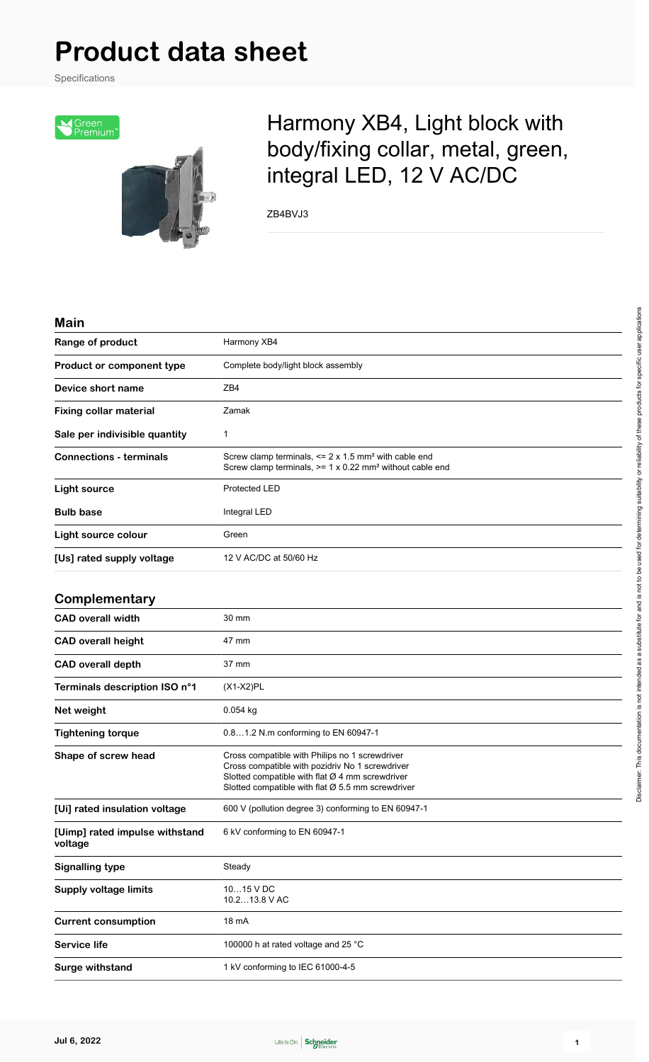# **Product data sheet**

Specifications



## Harmony XB4, Light block with body/fixing collar, metal, green, integral LED, 12 V AC/DC

ZB4BVJ3

#### **Main**

| Range of product                          | Harmony XB4                                                                                                                                                                                                 |  |
|-------------------------------------------|-------------------------------------------------------------------------------------------------------------------------------------------------------------------------------------------------------------|--|
| Product or component type                 | Complete body/light block assembly                                                                                                                                                                          |  |
| Device short name                         | ZB4                                                                                                                                                                                                         |  |
| <b>Fixing collar material</b>             | Zamak                                                                                                                                                                                                       |  |
| Sale per indivisible quantity             | 1                                                                                                                                                                                                           |  |
| <b>Connections - terminals</b>            | Screw clamp terminals, $\leq$ 2 x 1.5 mm <sup>2</sup> with cable end<br>Screw clamp terminals, $>= 1 \times 0.22$ mm <sup>2</sup> without cable end                                                         |  |
| <b>Light source</b>                       | Protected LED                                                                                                                                                                                               |  |
| <b>Bulb base</b>                          | Integral LED                                                                                                                                                                                                |  |
| Light source colour                       | Green                                                                                                                                                                                                       |  |
| [Us] rated supply voltage                 | 12 V AC/DC at 50/60 Hz                                                                                                                                                                                      |  |
| Complementary                             |                                                                                                                                                                                                             |  |
| <b>CAD overall width</b>                  | 30 mm                                                                                                                                                                                                       |  |
| <b>CAD overall height</b>                 | 47 mm                                                                                                                                                                                                       |  |
| <b>CAD overall depth</b>                  | 37 mm                                                                                                                                                                                                       |  |
| Terminals description ISO n°1             | $(X1-X2)PL$                                                                                                                                                                                                 |  |
| Net weight                                | 0.054 kg                                                                                                                                                                                                    |  |
| <b>Tightening torque</b>                  | 0.81.2 N.m conforming to EN 60947-1                                                                                                                                                                         |  |
| Shape of screw head                       | Cross compatible with Philips no 1 screwdriver<br>Cross compatible with pozidriv No 1 screwdriver<br>Slotted compatible with flat Ø 4 mm screwdriver<br>Slotted compatible with flat $Ø$ 5.5 mm screwdriver |  |
| [Ui] rated insulation voltage             | 600 V (pollution degree 3) conforming to EN 60947-1                                                                                                                                                         |  |
| [Uimp] rated impulse withstand<br>voltage | 6 kV conforming to EN 60947-1                                                                                                                                                                               |  |
| <b>Signalling type</b>                    | Steady                                                                                                                                                                                                      |  |
| <b>Supply voltage limits</b>              | 1015 V DC<br>10.213.8 V AC                                                                                                                                                                                  |  |
| <b>Current consumption</b>                | 18 mA                                                                                                                                                                                                       |  |
| <b>Service life</b>                       | 100000 h at rated voltage and 25 °C                                                                                                                                                                         |  |
| <b>Surge withstand</b>                    | 1 kV conforming to IEC 61000-4-5                                                                                                                                                                            |  |

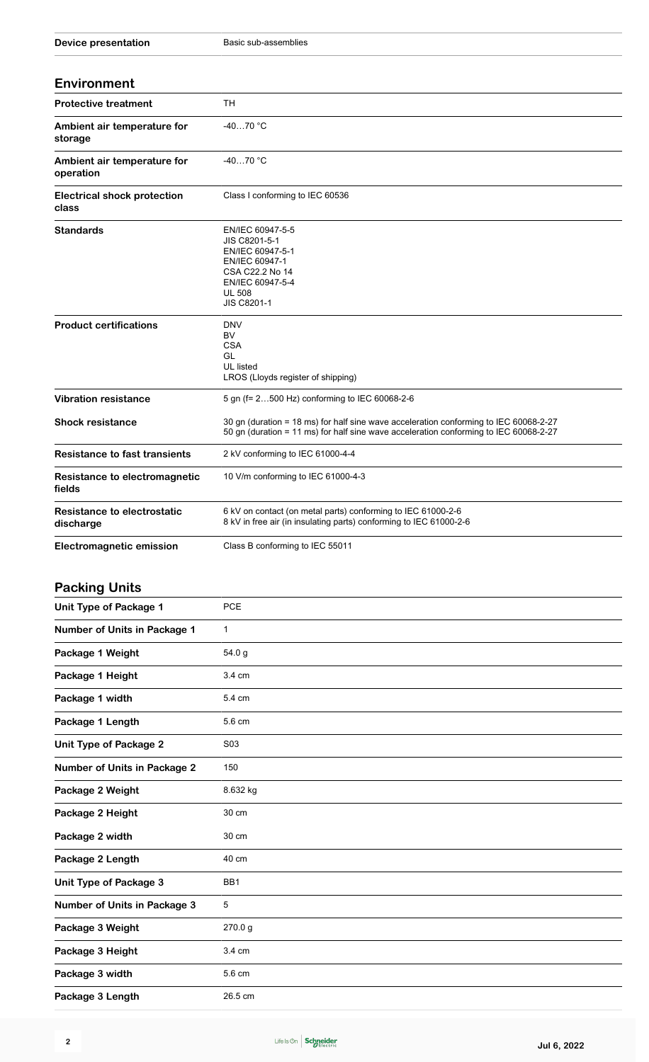| <b>Environment</b>                              |                                                                                                                                                                                |  |
|-------------------------------------------------|--------------------------------------------------------------------------------------------------------------------------------------------------------------------------------|--|
| <b>Protective treatment</b>                     | <b>TH</b>                                                                                                                                                                      |  |
| Ambient air temperature for<br>storage          | $-4070$ °C                                                                                                                                                                     |  |
| Ambient air temperature for<br>operation        | $-4070 °C$                                                                                                                                                                     |  |
| <b>Electrical shock protection</b><br>class     | Class I conforming to IEC 60536                                                                                                                                                |  |
| <b>Standards</b>                                | EN/IEC 60947-5-5<br>JIS C8201-5-1<br>EN/IEC 60947-5-1<br>EN/IEC 60947-1<br>CSA C22.2 No 14<br>EN/IEC 60947-5-4<br><b>UL 508</b><br><b>JIS C8201-1</b>                          |  |
| <b>Product certifications</b>                   | <b>DNV</b><br><b>BV</b><br><b>CSA</b><br>GL<br>UL listed<br>LROS (Lloyds register of shipping)                                                                                 |  |
| <b>Vibration resistance</b>                     | 5 gn (f= 2500 Hz) conforming to IEC 60068-2-6                                                                                                                                  |  |
| <b>Shock resistance</b>                         | 30 gn (duration = 18 ms) for half sine wave acceleration conforming to IEC 60068-2-27<br>50 gn (duration = 11 ms) for half sine wave acceleration conforming to IEC 60068-2-27 |  |
| <b>Resistance to fast transients</b>            | 2 kV conforming to IEC 61000-4-4                                                                                                                                               |  |
| Resistance to electromagnetic<br>fields         | 10 V/m conforming to IEC 61000-4-3                                                                                                                                             |  |
| <b>Resistance to electrostatic</b><br>discharge | 6 kV on contact (on metal parts) conforming to IEC 61000-2-6<br>8 kV in free air (in insulating parts) conforming to IEC 61000-2-6                                             |  |
| <b>Electromagnetic emission</b>                 | Class B conforming to IEC 55011                                                                                                                                                |  |

## **Packing Units**

| <b>Unit Type of Package 1</b>       | <b>PCE</b>      |
|-------------------------------------|-----------------|
| Number of Units in Package 1        | $\mathbf{1}$    |
| Package 1 Weight                    | 54.0 g          |
| Package 1 Height                    | 3.4 cm          |
| Package 1 width                     | 5.4 cm          |
| Package 1 Length                    | 5.6 cm          |
| <b>Unit Type of Package 2</b>       | S03             |
| <b>Number of Units in Package 2</b> | 150             |
| Package 2 Weight                    | 8.632 kg        |
| Package 2 Height                    | 30 cm           |
| Package 2 width                     | 30 cm           |
| Package 2 Length                    | 40 cm           |
| Unit Type of Package 3              | BB <sub>1</sub> |
| <b>Number of Units in Package 3</b> | 5               |
| Package 3 Weight                    | 270.0g          |
| Package 3 Height                    | 3.4 cm          |
| Package 3 width                     | 5.6 cm          |
| Package 3 Length                    | 26.5 cm         |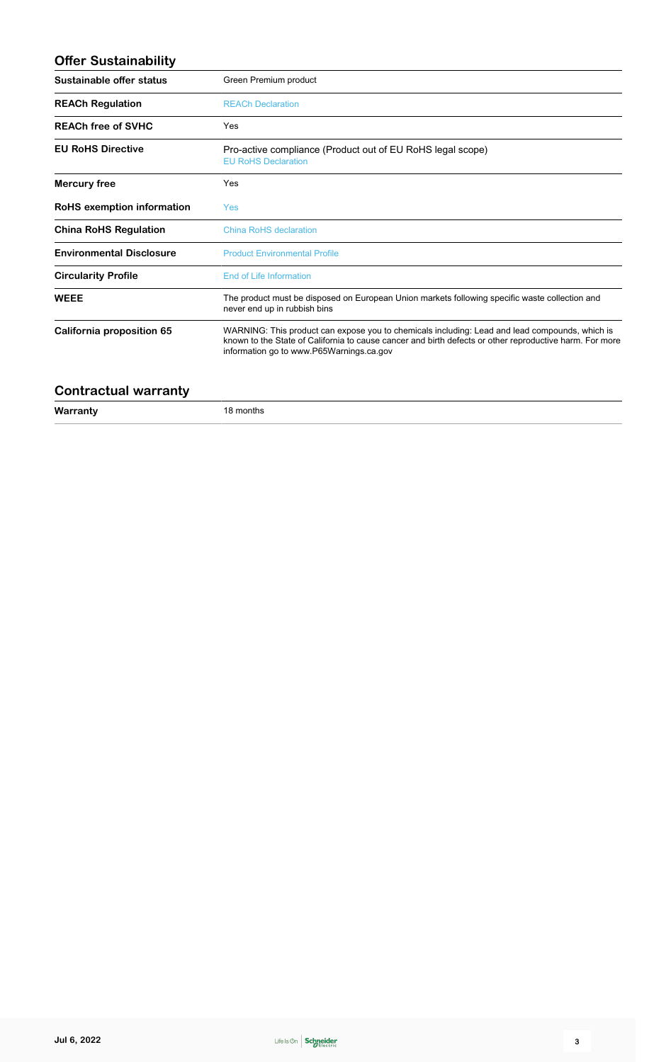#### **Offer Sustainability**

| Sustainable offer status        | Green Premium product                                                                                                                                                                                                                                 |  |
|---------------------------------|-------------------------------------------------------------------------------------------------------------------------------------------------------------------------------------------------------------------------------------------------------|--|
| <b>REACh Regulation</b>         | <b>REACh Declaration</b>                                                                                                                                                                                                                              |  |
| <b>REACh free of SVHC</b>       | Yes                                                                                                                                                                                                                                                   |  |
| <b>EU RoHS Directive</b>        | Pro-active compliance (Product out of EU RoHS legal scope)<br><b>EU RoHS Declaration</b>                                                                                                                                                              |  |
| Mercury free                    | Yes                                                                                                                                                                                                                                                   |  |
| RoHS exemption information      | Yes                                                                                                                                                                                                                                                   |  |
| <b>China RoHS Regulation</b>    | China RoHS declaration                                                                                                                                                                                                                                |  |
| <b>Environmental Disclosure</b> | <b>Product Environmental Profile</b>                                                                                                                                                                                                                  |  |
| <b>Circularity Profile</b>      | End of Life Information                                                                                                                                                                                                                               |  |
| <b>WEEE</b>                     | The product must be disposed on European Union markets following specific waste collection and<br>never end up in rubbish bins                                                                                                                        |  |
| California proposition 65       | WARNING: This product can expose you to chemicals including: Lead and lead compounds, which is<br>known to the State of California to cause cancer and birth defects or other reproductive harm. For more<br>information go to www.P65Warnings.ca.gov |  |

#### **Contractual warranty**

**Warranty** 18 months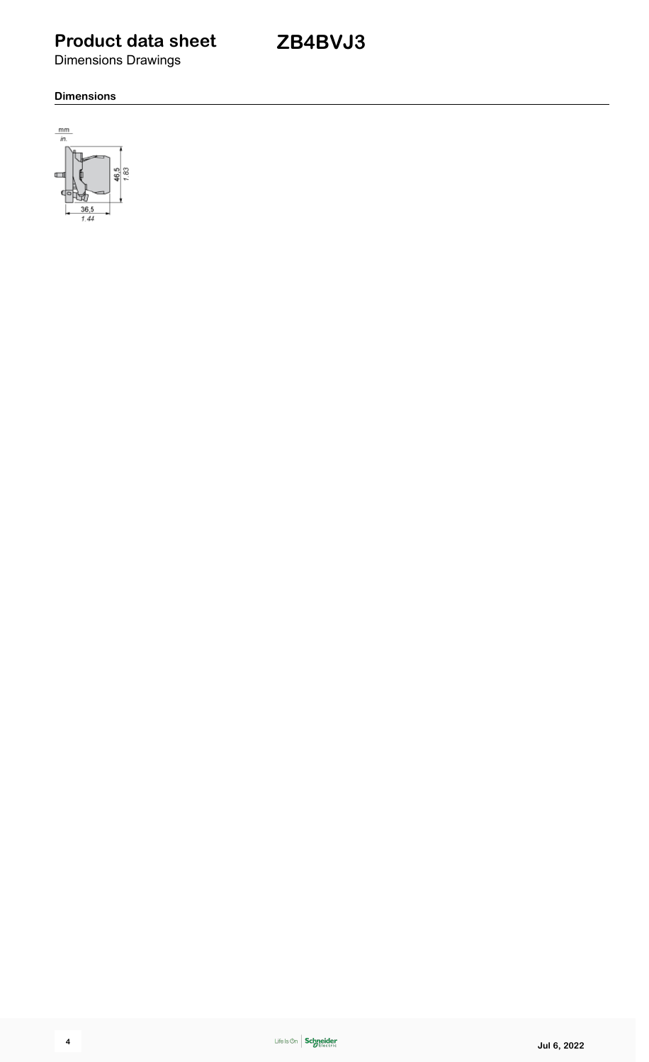## **Product data sheet**

**ZB4BVJ3**

Dimensions Drawings